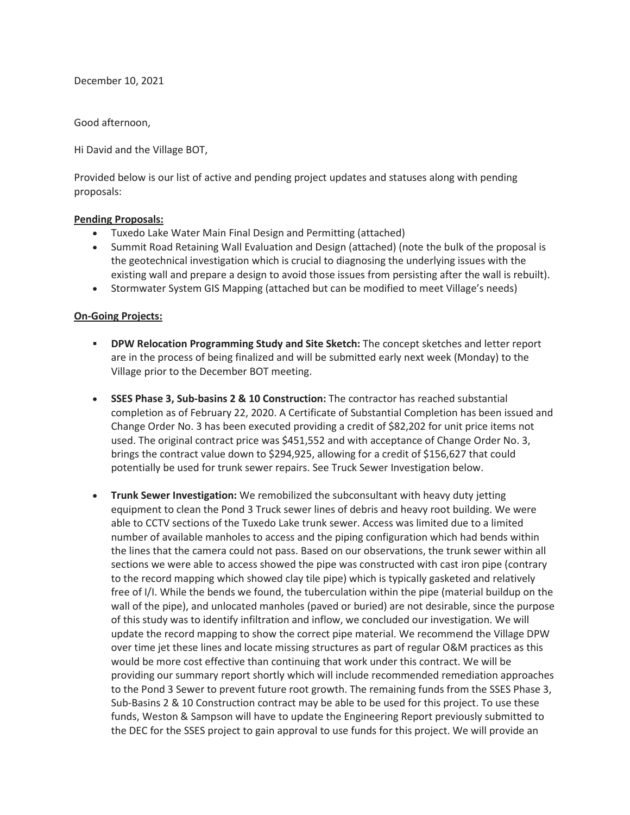December 10, 2021

Good afternoon,

Hi David and the Village BOT,

Provided below is our list of active and pending project updates and statuses along with pending proposals:

## **Pending Proposals:**

- Tuxedo Lake Water Main Final Design and Permitting (attached)
- Summit Road Retaining Wall Evaluation and Design (attached) (note the bulk of the proposal is the geotechnical investigation which is crucial to diagnosing the underlying issues with the existing wall and prepare a design to avoid those issues from persisting after the wall is rebuilt).
- Stormwater System GIS Mapping (attached but can be modified to meet Village's needs)

## **On-Going Projects:**

- **DPW Relocation Programming Study and Site Sketch:** The concept sketches and letter report are in the process of being finalized and will be submitted early next week (Monday) to the Village prior to the December BOT meeting.
- **SSES Phase 3, Sub-basins 2 & 10 Construction:** The contractor has reached substantial completion as of February 22, 2020. A Certificate of Substantial Completion has been issued and Change Order No. 3 has been executed providing a credit of \$82,202 for unit price items not used. The original contract price was \$451,552 and with acceptance of Change Order No. 3, brings the contract value down to \$294,925, allowing for a credit of \$156,627 that could potentially be used for trunk sewer repairs. See Truck Sewer Investigation below.
- **Trunk Sewer Investigation:** We remobilized the subconsultant with heavy duty jetting equipment to clean the Pond 3 Truck sewer lines of debris and heavy root building. We were able to CCTV sections of the Tuxedo Lake trunk sewer. Access was limited due to a limited number of available manholes to access and the piping configuration which had bends within the lines that the camera could not pass. Based on our observations, the trunk sewer within all sections we were able to access showed the pipe was constructed with cast iron pipe (contrary to the record mapping which showed clay tile pipe) which is typically gasketed and relatively free of I/I. While the bends we found, the tuberculation within the pipe (material buildup on the wall of the pipe), and unlocated manholes (paved or buried) are not desirable, since the purpose of this study was to identify infiltration and inflow, we concluded our investigation. We will update the record mapping to show the correct pipe material. We recommend the Village DPW over time jet these lines and locate missing structures as part of regular O&M practices as this would be more cost effective than continuing that work under this contract. We will be providing our summary report shortly which will include recommended remediation approaches to the Pond 3 Sewer to prevent future root growth. The remaining funds from the SSES Phase 3, Sub-Basins 2 & 10 Construction contract may be able to be used for this project. To use these funds, Weston & Sampson will have to update the Engineering Report previously submitted to the DEC for the SSES project to gain approval to use funds for this project. We will provide an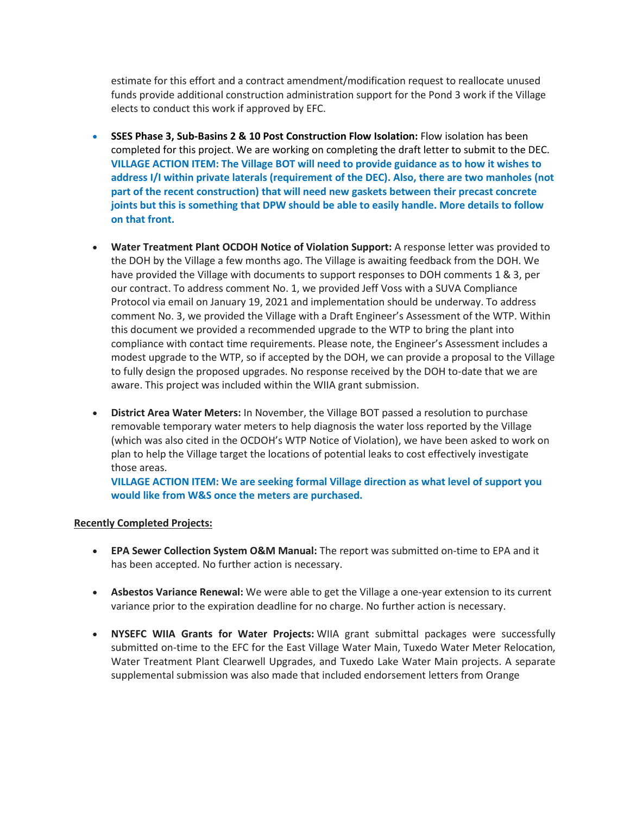estimate for this effort and a contract amendment/modification request to reallocate unused funds provide additional construction administration support for the Pond 3 work if the Village elects to conduct this work if approved by EFC.

- **SSES Phase 3, Sub-Basins 2 & 10 Post Construction Flow Isolation:** Flow isolation has been completed for this project. We are working on completing the draft letter to submit to the DEC. **VILLAGE ACTION ITEM: The Village BOT will need to provide guidance as to how it wishes to address I/I within private laterals (requirement of the DEC). Also, there are two manholes (not part of the recent construction) that will need new gaskets between their precast concrete joints but this is something that DPW should be able to easily handle. More details to follow on that front.**
- **Water Treatment Plant OCDOH Notice of Violation Support:** A response letter was provided to the DOH by the Village a few months ago. The Village is awaiting feedback from the DOH. We have provided the Village with documents to support responses to DOH comments 1 & 3, per our contract. To address comment No. 1, we provided Jeff Voss with a SUVA Compliance Protocol via email on January 19, 2021 and implementation should be underway. To address comment No. 3, we provided the Village with a Draft Engineer's Assessment of the WTP. Within this document we provided a recommended upgrade to the WTP to bring the plant into compliance with contact time requirements. Please note, the Engineer's Assessment includes a modest upgrade to the WTP, so if accepted by the DOH, we can provide a proposal to the Village to fully design the proposed upgrades. No response received by the DOH to-date that we are aware. This project was included within the WIIA grant submission.
- **District Area Water Meters:** In November, the Village BOT passed a resolution to purchase removable temporary water meters to help diagnosis the water loss reported by the Village (which was also cited in the OCDOH's WTP Notice of Violation), we have been asked to work on plan to help the Village target the locations of potential leaks to cost effectively investigate those areas.

**VILLAGE ACTION ITEM: We are seeking formal Village direction as what level of support you would like from W&S once the meters are purchased.**

## **Recently Completed Projects:**

- **EPA Sewer Collection System O&M Manual:** The report was submitted on-time to EPA and it has been accepted. No further action is necessary.
- **Asbestos Variance Renewal:** We were able to get the Village a one-year extension to its current variance prior to the expiration deadline for no charge. No further action is necessary.
- **NYSEFC WIIA Grants for Water Projects:** WIIA grant submittal packages were successfully submitted on-time to the EFC for the East Village Water Main, Tuxedo Water Meter Relocation, Water Treatment Plant Clearwell Upgrades, and Tuxedo Lake Water Main projects. A separate supplemental submission was also made that included endorsement letters from Orange